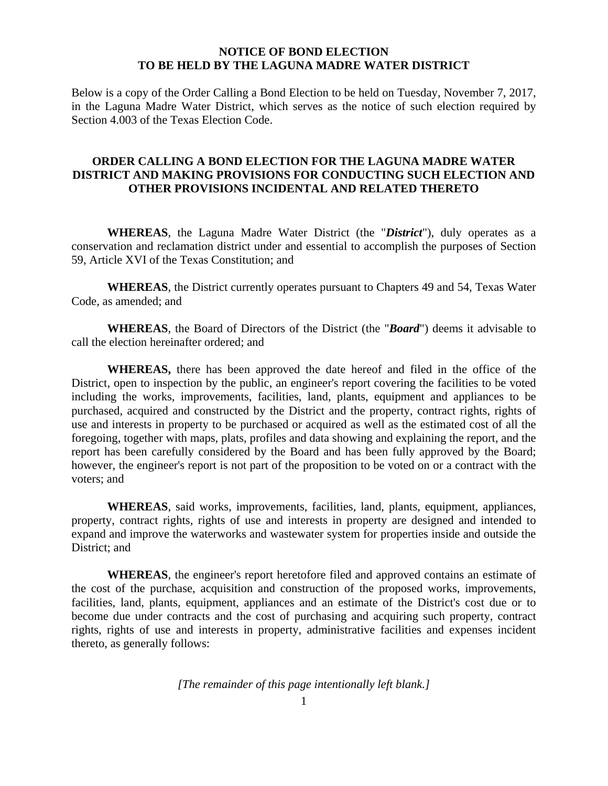## **NOTICE OF BOND ELECTION TO BE HELD BY THE LAGUNA MADRE WATER DISTRICT**

Below is a copy of the Order Calling a Bond Election to be held on Tuesday, November 7, 2017, in the Laguna Madre Water District, which serves as the notice of such election required by Section 4.003 of the Texas Election Code.

## **ORDER CALLING A BOND ELECTION FOR THE LAGUNA MADRE WATER DISTRICT AND MAKING PROVISIONS FOR CONDUCTING SUCH ELECTION AND OTHER PROVISIONS INCIDENTAL AND RELATED THERETO**

**WHEREAS**, the Laguna Madre Water District (the "*District*"), duly operates as a conservation and reclamation district under and essential to accomplish the purposes of Section 59, Article XVI of the Texas Constitution; and

**WHEREAS**, the District currently operates pursuant to Chapters 49 and 54, Texas Water Code, as amended; and

**WHEREAS**, the Board of Directors of the District (the "*Board*") deems it advisable to call the election hereinafter ordered; and

**WHEREAS,** there has been approved the date hereof and filed in the office of the District, open to inspection by the public, an engineer's report covering the facilities to be voted including the works, improvements, facilities, land, plants, equipment and appliances to be purchased, acquired and constructed by the District and the property, contract rights, rights of use and interests in property to be purchased or acquired as well as the estimated cost of all the foregoing, together with maps, plats, profiles and data showing and explaining the report, and the report has been carefully considered by the Board and has been fully approved by the Board; however, the engineer's report is not part of the proposition to be voted on or a contract with the voters; and

**WHEREAS**, said works, improvements, facilities, land, plants, equipment, appliances, property, contract rights, rights of use and interests in property are designed and intended to expand and improve the waterworks and wastewater system for properties inside and outside the District; and

**WHEREAS**, the engineer's report heretofore filed and approved contains an estimate of the cost of the purchase, acquisition and construction of the proposed works, improvements, facilities, land, plants, equipment, appliances and an estimate of the District's cost due or to become due under contracts and the cost of purchasing and acquiring such property, contract rights, rights of use and interests in property, administrative facilities and expenses incident thereto, as generally follows:

*[The remainder of this page intentionally left blank.]*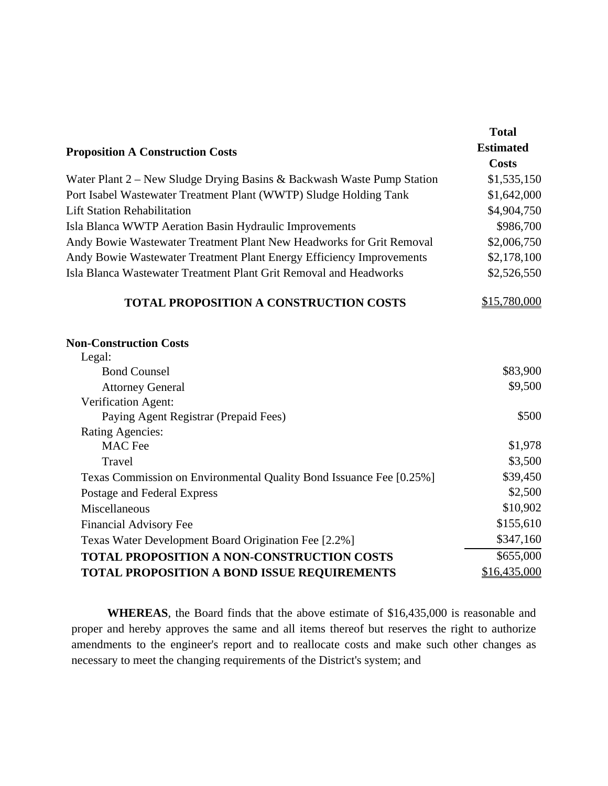|                                                                        | <b>Total</b>     |
|------------------------------------------------------------------------|------------------|
| <b>Proposition A Construction Costs</b>                                | <b>Estimated</b> |
|                                                                        | <b>Costs</b>     |
| Water Plant 2 – New Sludge Drying Basins & Backwash Waste Pump Station | \$1,535,150      |
| Port Isabel Wastewater Treatment Plant (WWTP) Sludge Holding Tank      | \$1,642,000      |
| <b>Lift Station Rehabilitation</b>                                     | \$4,904,750      |
| Isla Blanca WWTP Aeration Basin Hydraulic Improvements                 | \$986,700        |
| Andy Bowie Wastewater Treatment Plant New Headworks for Grit Removal   | \$2,006,750      |
| Andy Bowie Wastewater Treatment Plant Energy Efficiency Improvements   | \$2,178,100      |
| Isla Blanca Wastewater Treatment Plant Grit Removal and Headworks      | \$2,526,550      |
| <b>TOTAL PROPOSITION A CONSTRUCTION COSTS</b>                          | \$15,780,000     |
| <b>Non-Construction Costs</b>                                          |                  |
| Legal:                                                                 |                  |
| <b>Bond Counsel</b>                                                    | \$83,900         |
| <b>Attorney General</b>                                                | \$9,500          |
| Verification Agent:                                                    |                  |
| Paying Agent Registrar (Prepaid Fees)                                  | \$500            |
| <b>Rating Agencies:</b>                                                |                  |
| <b>MAC</b> Fee                                                         | \$1,978          |
| Travel                                                                 | \$3,500          |
| Texas Commission on Environmental Quality Bond Issuance Fee [0.25%]    | \$39,450         |
| Postage and Federal Express                                            | \$2,500          |
| Miscellaneous                                                          | \$10,902         |
| <b>Financial Advisory Fee</b>                                          | \$155,610        |
| Texas Water Development Board Origination Fee [2.2%]                   | \$347,160        |
| TOTAL PROPOSITION A NON-CONSTRUCTION COSTS                             | \$655,000        |
| <b>TOTAL PROPOSITION A BOND ISSUE REQUIREMENTS</b>                     | \$16,435,000     |

 **WHEREAS**, the Board finds that the above estimate of \$16,435,000 is reasonable and proper and hereby approves the same and all items thereof but reserves the right to authorize amendments to the engineer's report and to reallocate costs and make such other changes as necessary to meet the changing requirements of the District's system; and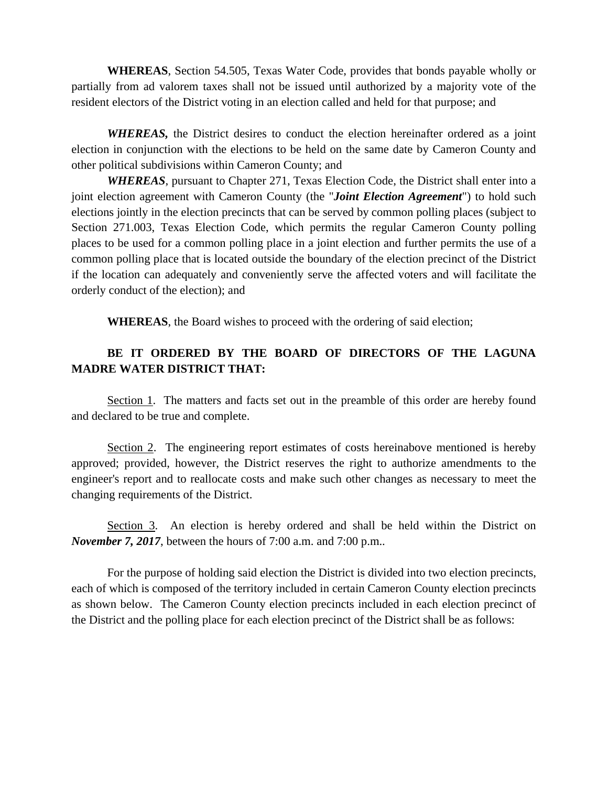**WHEREAS**, Section 54.505, Texas Water Code, provides that bonds payable wholly or partially from ad valorem taxes shall not be issued until authorized by a majority vote of the resident electors of the District voting in an election called and held for that purpose; and

*WHEREAS,* the District desires to conduct the election hereinafter ordered as a joint election in conjunction with the elections to be held on the same date by Cameron County and other political subdivisions within Cameron County; and

*WHEREAS*, pursuant to Chapter 271, Texas Election Code, the District shall enter into a joint election agreement with Cameron County (the "*Joint Election Agreement*") to hold such elections jointly in the election precincts that can be served by common polling places (subject to Section 271.003, Texas Election Code, which permits the regular Cameron County polling places to be used for a common polling place in a joint election and further permits the use of a common polling place that is located outside the boundary of the election precinct of the District if the location can adequately and conveniently serve the affected voters and will facilitate the orderly conduct of the election); and

**WHEREAS**, the Board wishes to proceed with the ordering of said election;

# **BE IT ORDERED BY THE BOARD OF DIRECTORS OF THE LAGUNA MADRE WATER DISTRICT THAT:**

Section 1. The matters and facts set out in the preamble of this order are hereby found and declared to be true and complete.

 Section 2. The engineering report estimates of costs hereinabove mentioned is hereby approved; provided, however, the District reserves the right to authorize amendments to the engineer's report and to reallocate costs and make such other changes as necessary to meet the changing requirements of the District.

Section 3. An election is hereby ordered and shall be held within the District on *November 7, 2017*, between the hours of 7:00 a.m. and 7:00 p.m..

 For the purpose of holding said election the District is divided into two election precincts, each of which is composed of the territory included in certain Cameron County election precincts as shown below. The Cameron County election precincts included in each election precinct of the District and the polling place for each election precinct of the District shall be as follows: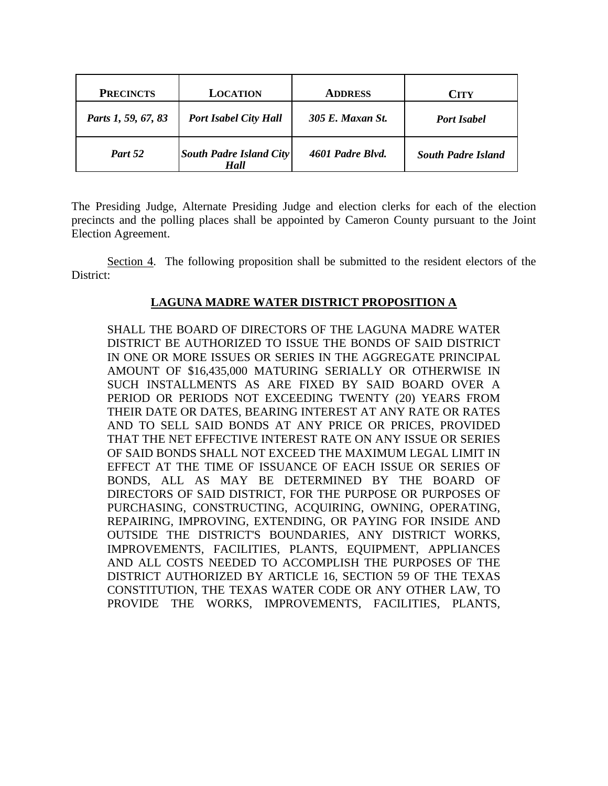| <b>PRECINCTS</b>    | <b>LOCATION</b>                        | <b>ADDRESS</b>   | <b>CITY</b>               |
|---------------------|----------------------------------------|------------------|---------------------------|
| Parts 1, 59, 67, 83 | <b>Port Isabel City Hall</b>           | 305 E. Maxan St. | <b>Port Isabel</b>        |
| Part 52             | <b>South Padre Island City</b><br>Hall | 4601 Padre Blvd. | <b>South Padre Island</b> |

The Presiding Judge, Alternate Presiding Judge and election clerks for each of the election precincts and the polling places shall be appointed by Cameron County pursuant to the Joint Election Agreement.

 Section 4. The following proposition shall be submitted to the resident electors of the District:

## **LAGUNA MADRE WATER DISTRICT PROPOSITION A**

SHALL THE BOARD OF DIRECTORS OF THE LAGUNA MADRE WATER DISTRICT BE AUTHORIZED TO ISSUE THE BONDS OF SAID DISTRICT IN ONE OR MORE ISSUES OR SERIES IN THE AGGREGATE PRINCIPAL AMOUNT OF \$16,435,000 MATURING SERIALLY OR OTHERWISE IN SUCH INSTALLMENTS AS ARE FIXED BY SAID BOARD OVER A PERIOD OR PERIODS NOT EXCEEDING TWENTY (20) YEARS FROM THEIR DATE OR DATES, BEARING INTEREST AT ANY RATE OR RATES AND TO SELL SAID BONDS AT ANY PRICE OR PRICES, PROVIDED THAT THE NET EFFECTIVE INTEREST RATE ON ANY ISSUE OR SERIES OF SAID BONDS SHALL NOT EXCEED THE MAXIMUM LEGAL LIMIT IN EFFECT AT THE TIME OF ISSUANCE OF EACH ISSUE OR SERIES OF BONDS, ALL AS MAY BE DETERMINED BY THE BOARD OF DIRECTORS OF SAID DISTRICT, FOR THE PURPOSE OR PURPOSES OF PURCHASING, CONSTRUCTING, ACQUIRING, OWNING, OPERATING, REPAIRING, IMPROVING, EXTENDING, OR PAYING FOR INSIDE AND OUTSIDE THE DISTRICT'S BOUNDARIES, ANY DISTRICT WORKS, IMPROVEMENTS, FACILITIES, PLANTS, EQUIPMENT, APPLIANCES AND ALL COSTS NEEDED TO ACCOMPLISH THE PURPOSES OF THE DISTRICT AUTHORIZED BY ARTICLE 16, SECTION 59 OF THE TEXAS CONSTITUTION, THE TEXAS WATER CODE OR ANY OTHER LAW, TO PROVIDE THE WORKS, IMPROVEMENTS, FACILITIES, PLANTS,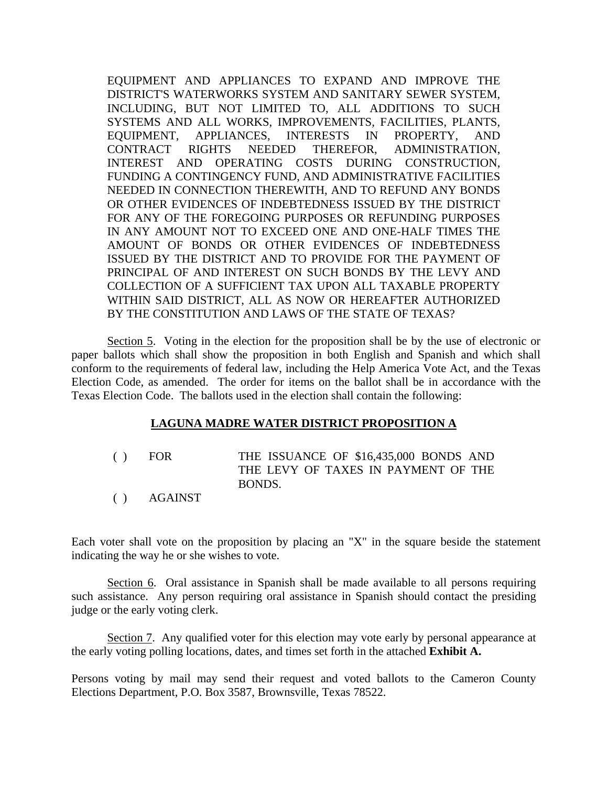EQUIPMENT AND APPLIANCES TO EXPAND AND IMPROVE THE DISTRICT'S WATERWORKS SYSTEM AND SANITARY SEWER SYSTEM, INCLUDING, BUT NOT LIMITED TO, ALL ADDITIONS TO SUCH SYSTEMS AND ALL WORKS, IMPROVEMENTS, FACILITIES, PLANTS, EQUIPMENT, APPLIANCES, INTERESTS IN PROPERTY, AND CONTRACT RIGHTS NEEDED THEREFOR, ADMINISTRATION, INTEREST AND OPERATING COSTS DURING CONSTRUCTION, FUNDING A CONTINGENCY FUND, AND ADMINISTRATIVE FACILITIES NEEDED IN CONNECTION THEREWITH, AND TO REFUND ANY BONDS OR OTHER EVIDENCES OF INDEBTEDNESS ISSUED BY THE DISTRICT FOR ANY OF THE FOREGOING PURPOSES OR REFUNDING PURPOSES IN ANY AMOUNT NOT TO EXCEED ONE AND ONE-HALF TIMES THE AMOUNT OF BONDS OR OTHER EVIDENCES OF INDEBTEDNESS ISSUED BY THE DISTRICT AND TO PROVIDE FOR THE PAYMENT OF PRINCIPAL OF AND INTEREST ON SUCH BONDS BY THE LEVY AND COLLECTION OF A SUFFICIENT TAX UPON ALL TAXABLE PROPERTY WITHIN SAID DISTRICT, ALL AS NOW OR HEREAFTER AUTHORIZED BY THE CONSTITUTION AND LAWS OF THE STATE OF TEXAS?

 Section 5. Voting in the election for the proposition shall be by the use of electronic or paper ballots which shall show the proposition in both English and Spanish and which shall conform to the requirements of federal law, including the Help America Vote Act, and the Texas Election Code, as amended. The order for items on the ballot shall be in accordance with the Texas Election Code. The ballots used in the election shall contain the following:

#### **LAGUNA MADRE WATER DISTRICT PROPOSITION A**

- ( ) FOR THE ISSUANCE OF \$16,435,000 BONDS AND THE LEVY OF TAXES IN PAYMENT OF THE BONDS.
- ( ) AGAINST

Each voter shall vote on the proposition by placing an "X" in the square beside the statement indicating the way he or she wishes to vote.

 Section 6. Oral assistance in Spanish shall be made available to all persons requiring such assistance. Any person requiring oral assistance in Spanish should contact the presiding judge or the early voting clerk.

Section 7. Any qualified voter for this election may vote early by personal appearance at the early voting polling locations, dates, and times set forth in the attached **Exhibit A.**

Persons voting by mail may send their request and voted ballots to the Cameron County Elections Department, P.O. Box 3587, Brownsville, Texas 78522.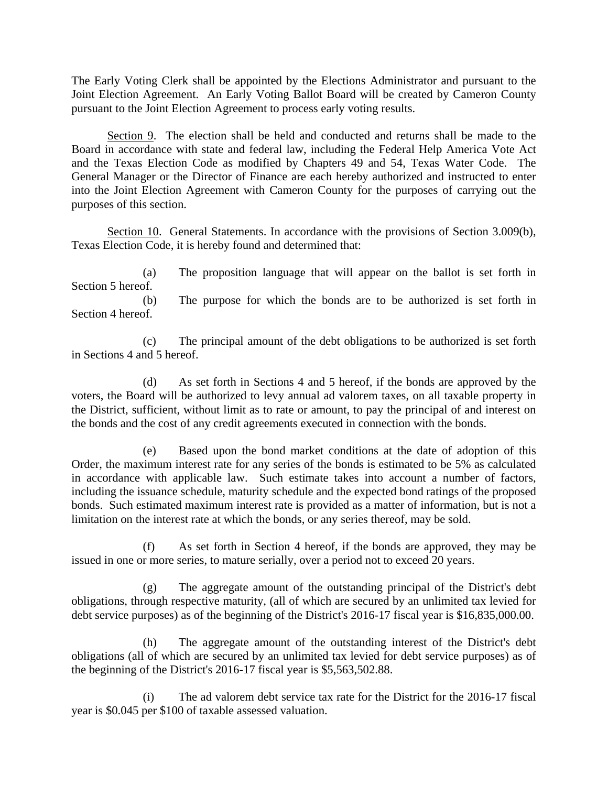The Early Voting Clerk shall be appointed by the Elections Administrator and pursuant to the Joint Election Agreement. An Early Voting Ballot Board will be created by Cameron County pursuant to the Joint Election Agreement to process early voting results.

 Section 9. The election shall be held and conducted and returns shall be made to the Board in accordance with state and federal law, including the Federal Help America Vote Act and the Texas Election Code as modified by Chapters 49 and 54, Texas Water Code. The General Manager or the Director of Finance are each hereby authorized and instructed to enter into the Joint Election Agreement with Cameron County for the purposes of carrying out the purposes of this section.

 Section 10. General Statements. In accordance with the provisions of Section 3.009(b), Texas Election Code, it is hereby found and determined that:

 (a) The proposition language that will appear on the ballot is set forth in Section 5 hereof.

 (b) The purpose for which the bonds are to be authorized is set forth in Section 4 hereof.

 (c) The principal amount of the debt obligations to be authorized is set forth in Sections 4 and 5 hereof.

 (d) As set forth in Sections 4 and 5 hereof, if the bonds are approved by the voters, the Board will be authorized to levy annual ad valorem taxes, on all taxable property in the District, sufficient, without limit as to rate or amount, to pay the principal of and interest on the bonds and the cost of any credit agreements executed in connection with the bonds.

 (e) Based upon the bond market conditions at the date of adoption of this Order, the maximum interest rate for any series of the bonds is estimated to be 5% as calculated in accordance with applicable law. Such estimate takes into account a number of factors, including the issuance schedule, maturity schedule and the expected bond ratings of the proposed bonds. Such estimated maximum interest rate is provided as a matter of information, but is not a limitation on the interest rate at which the bonds, or any series thereof, may be sold.

 (f) As set forth in Section 4 hereof, if the bonds are approved, they may be issued in one or more series, to mature serially, over a period not to exceed 20 years.

 (g) The aggregate amount of the outstanding principal of the District's debt obligations, through respective maturity, (all of which are secured by an unlimited tax levied for debt service purposes) as of the beginning of the District's 2016-17 fiscal year is \$16,835,000.00.

 (h) The aggregate amount of the outstanding interest of the District's debt obligations (all of which are secured by an unlimited tax levied for debt service purposes) as of the beginning of the District's 2016-17 fiscal year is \$5,563,502.88.

 (i) The ad valorem debt service tax rate for the District for the 2016-17 fiscal year is \$0.045 per \$100 of taxable assessed valuation.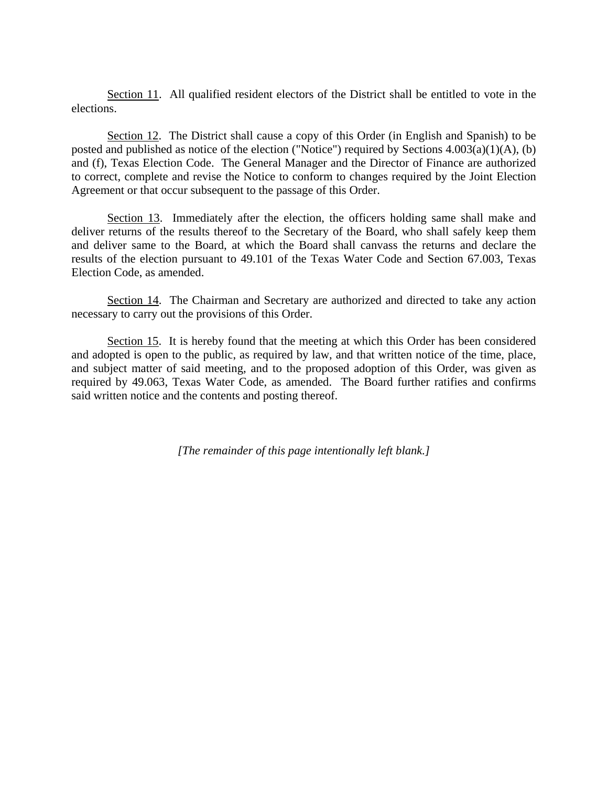Section 11. All qualified resident electors of the District shall be entitled to vote in the elections.

Section 12. The District shall cause a copy of this Order (in English and Spanish) to be posted and published as notice of the election ("Notice") required by Sections  $4.003(a)(1)(A)$ , (b) and (f), Texas Election Code. The General Manager and the Director of Finance are authorized to correct, complete and revise the Notice to conform to changes required by the Joint Election Agreement or that occur subsequent to the passage of this Order.

Section 13. Immediately after the election, the officers holding same shall make and deliver returns of the results thereof to the Secretary of the Board, who shall safely keep them and deliver same to the Board, at which the Board shall canvass the returns and declare the results of the election pursuant to 49.101 of the Texas Water Code and Section 67.003, Texas Election Code, as amended.

 Section 14. The Chairman and Secretary are authorized and directed to take any action necessary to carry out the provisions of this Order.

 Section 15. It is hereby found that the meeting at which this Order has been considered and adopted is open to the public, as required by law, and that written notice of the time, place, and subject matter of said meeting, and to the proposed adoption of this Order, was given as required by 49.063, Texas Water Code, as amended. The Board further ratifies and confirms said written notice and the contents and posting thereof.

*[The remainder of this page intentionally left blank.]*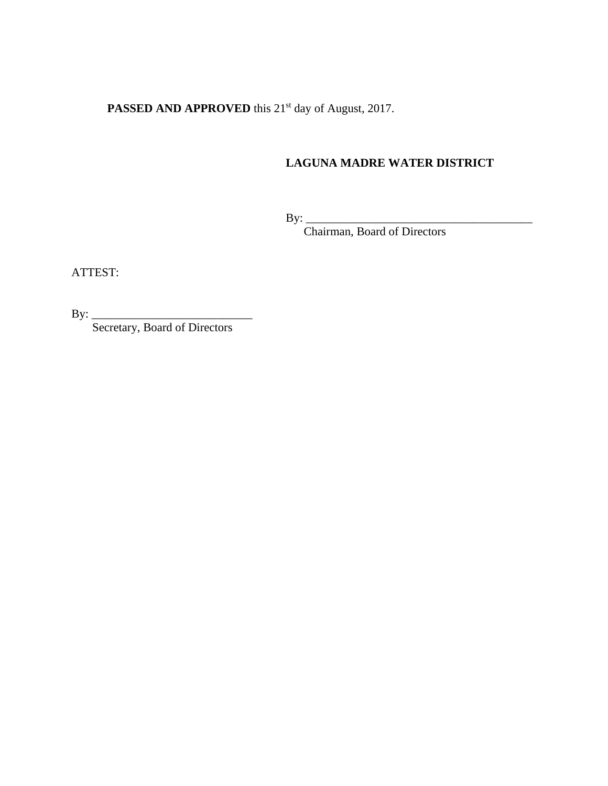PASSED AND APPROVED this 21<sup>st</sup> day of August, 2017.

# **LAGUNA MADRE WATER DISTRICT**

 $\text{By:} \_\_$ 

Chairman, Board of Directors

ATTEST:

By: \_\_\_\_\_\_\_\_\_\_\_\_\_\_\_\_\_\_\_\_\_\_\_\_\_\_\_

Secretary, Board of Directors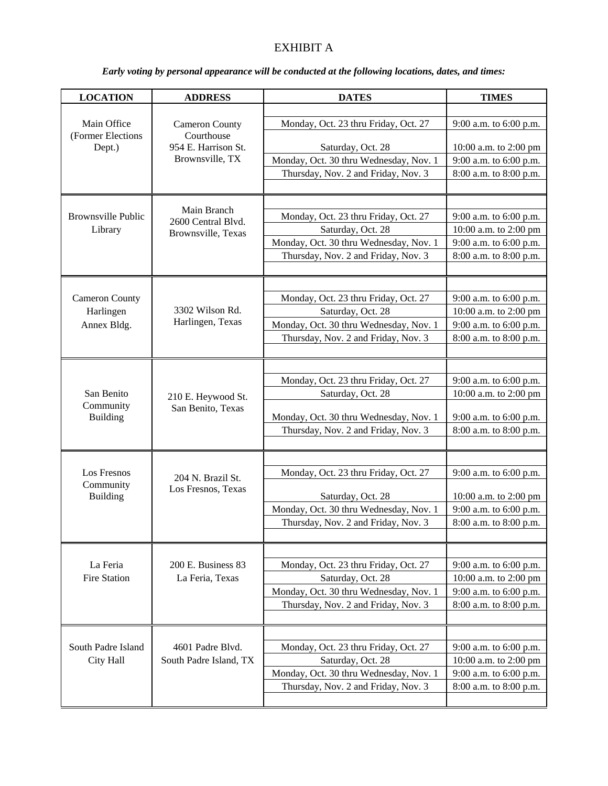# EXHIBIT A

| <b>LOCATION</b>                      | <b>ADDRESS</b>                                          | <b>DATES</b>                                              | <b>TIMES</b>                                    |
|--------------------------------------|---------------------------------------------------------|-----------------------------------------------------------|-------------------------------------------------|
|                                      |                                                         |                                                           |                                                 |
| Main Office                          | <b>Cameron County</b>                                   | Monday, Oct. 23 thru Friday, Oct. 27                      | 9:00 a.m. to 6:00 p.m.                          |
| (Former Elections                    | Courthouse<br>954 E. Harrison St.                       | Saturday, Oct. 28                                         |                                                 |
| Dept.)                               | Brownsville, TX                                         | Monday, Oct. 30 thru Wednesday, Nov. 1                    | 10:00 a.m. to 2:00 pm<br>9:00 a.m. to 6:00 p.m. |
|                                      |                                                         | Thursday, Nov. 2 and Friday, Nov. 3                       | 8:00 a.m. to 8:00 p.m.                          |
|                                      |                                                         |                                                           |                                                 |
|                                      |                                                         |                                                           |                                                 |
| <b>Brownsville Public</b><br>Library | Main Branch<br>2600 Central Blyd.<br>Brownsville, Texas | Monday, Oct. 23 thru Friday, Oct. 27                      | 9:00 a.m. to 6:00 p.m.                          |
|                                      |                                                         | Saturday, Oct. 28                                         | 10:00 a.m. to 2:00 pm                           |
|                                      |                                                         | Monday, Oct. 30 thru Wednesday, Nov. 1                    | 9:00 a.m. to 6:00 p.m.                          |
|                                      |                                                         | Thursday, Nov. 2 and Friday, Nov. 3                       | 8:00 a.m. to 8:00 p.m.                          |
|                                      |                                                         |                                                           |                                                 |
|                                      |                                                         |                                                           |                                                 |
| <b>Cameron County</b>                |                                                         | Monday, Oct. 23 thru Friday, Oct. 27                      | 9:00 a.m. to 6:00 p.m.                          |
| Harlingen                            | 3302 Wilson Rd.                                         | Saturday, Oct. 28                                         | 10:00 a.m. to 2:00 pm                           |
| Annex Bldg.                          | Harlingen, Texas                                        | Monday, Oct. 30 thru Wednesday, Nov. 1                    | 9:00 a.m. to 6:00 p.m.                          |
|                                      |                                                         | Thursday, Nov. 2 and Friday, Nov. 3                       | 8:00 a.m. to 8:00 p.m.                          |
|                                      |                                                         |                                                           |                                                 |
|                                      |                                                         |                                                           |                                                 |
| San Benito                           |                                                         | Monday, Oct. 23 thru Friday, Oct. 27<br>Saturday, Oct. 28 | 9:00 a.m. to 6:00 p.m.                          |
| Community                            | 210 E. Heywood St.<br>San Benito, Texas                 |                                                           | 10:00 a.m. to 2:00 pm                           |
| <b>Building</b>                      |                                                         | Monday, Oct. 30 thru Wednesday, Nov. 1                    | 9:00 a.m. to 6:00 p.m.                          |
|                                      |                                                         | Thursday, Nov. 2 and Friday, Nov. 3                       | 8:00 a.m. to 8:00 p.m.                          |
|                                      |                                                         |                                                           |                                                 |
|                                      |                                                         |                                                           |                                                 |
| Los Fresnos                          | 204 N. Brazil St.                                       | Monday, Oct. 23 thru Friday, Oct. 27                      | 9:00 a.m. to 6:00 p.m.                          |
| Community<br><b>Building</b>         | Los Fresnos, Texas                                      | Saturday, Oct. 28                                         | 10:00 a.m. to 2:00 pm                           |
|                                      |                                                         | Monday, Oct. 30 thru Wednesday, Nov. 1                    | 9:00 a.m. to 6:00 p.m.                          |
|                                      |                                                         | Thursday, Nov. 2 and Friday, Nov. 3                       | 8:00 a.m. to 8:00 p.m.                          |
|                                      |                                                         |                                                           |                                                 |
|                                      |                                                         |                                                           |                                                 |
| La Feria                             | 200 E. Business 83                                      | Monday, Oct. 23 thru Friday, Oct. 27                      | 9:00 a.m. to 6:00 p.m.                          |
| <b>Fire Station</b>                  | La Feria, Texas                                         | Saturday, Oct. 28                                         | 10:00 a.m. to 2:00 pm                           |
|                                      |                                                         | Monday, Oct. 30 thru Wednesday, Nov. 1                    | 9:00 a.m. to 6:00 p.m.                          |
|                                      |                                                         | Thursday, Nov. 2 and Friday, Nov. 3                       | 8:00 a.m. to 8:00 p.m.                          |
|                                      |                                                         |                                                           |                                                 |
|                                      |                                                         |                                                           |                                                 |
| South Padre Island                   | 4601 Padre Blvd.                                        | Monday, Oct. 23 thru Friday, Oct. 27                      | 9:00 a.m. to 6:00 p.m.                          |
| City Hall                            | South Padre Island, TX                                  | Saturday, Oct. 28                                         | 10:00 a.m. to 2:00 pm                           |
|                                      |                                                         | Monday, Oct. 30 thru Wednesday, Nov. 1                    | 9:00 a.m. to 6:00 p.m.                          |
|                                      |                                                         | Thursday, Nov. 2 and Friday, Nov. 3                       | 8:00 a.m. to 8:00 p.m.                          |
|                                      |                                                         |                                                           |                                                 |

## *Early voting by personal appearance will be conducted at the following locations, dates, and times:*